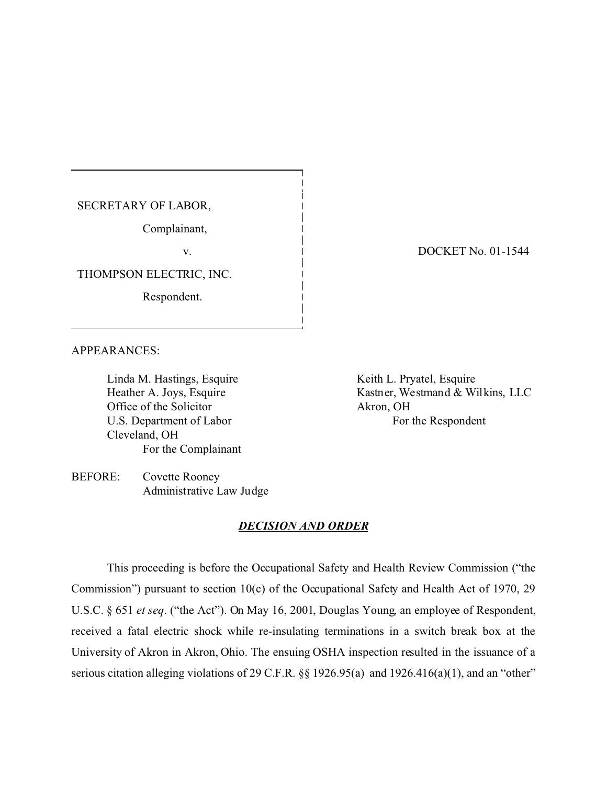SECRETARY OF LABOR,

Complainant,

v.

THOMPSON ELECTRIC, INC.

Respondent.

DOCKET No. 01-1544

APPEARANCES:

Linda M. Hastings, Esquire Heather A. Joys, Esquire Office of the Solicitor U.S. Department of Labor Cleveland, OH For the Complainant Keith L. Pryatel, Esquire Kastner, Westmand & Wilkins, LLC Akron, OH For the Respondent

BEFORE: Covette Rooney Administrative Law Judge

### *DECISION AND ORDER*

This proceeding is before the Occupational Safety and Health Review Commission ("the Commission") pursuant to section 10(c) of the Occupational Safety and Health Act of 1970, 29 U.S.C. § 651 *et seq*. ("the Act"). On May 16, 2001, Douglas Young, an employee of Respondent, received a fatal electric shock while re-insulating terminations in a switch break box at the University of Akron in Akron, Ohio. The ensuing OSHA inspection resulted in the issuance of a serious citation alleging violations of 29 C.F.R. §§ 1926.95(a) and 1926.416(a)(1), and an "other"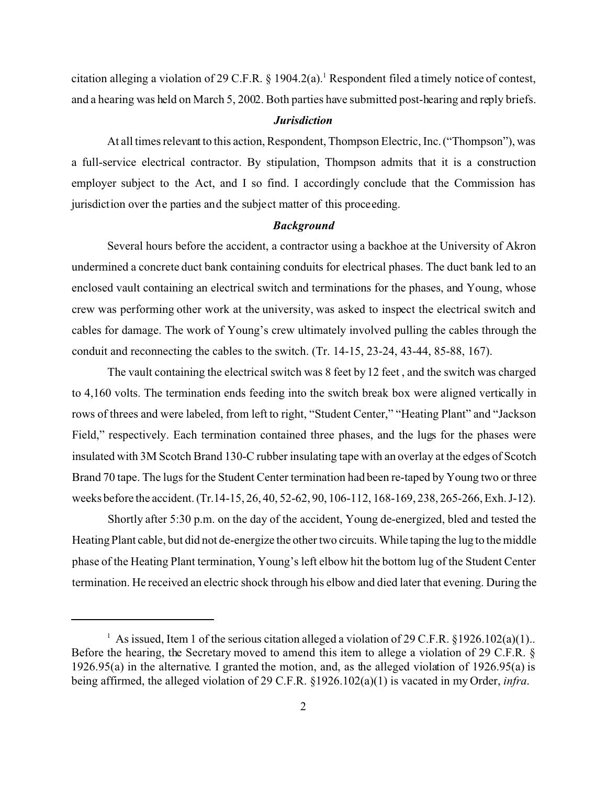citation alleging a violation of 29 C.F.R.  $\S$  1904.2(a).<sup>1</sup> Respondent filed a timely notice of contest, and a hearing was held on March 5, 2002. Both parties have submitted post-hearing and reply briefs.

#### *Jurisdiction*

At all times relevant to this action, Respondent, Thompson Electric, Inc. ("Thompson"), was a full-service electrical contractor. By stipulation, Thompson admits that it is a construction employer subject to the Act, and I so find. I accordingly conclude that the Commission has jurisdiction over the parties and the subject matter of this proceeding.

#### *Background*

Several hours before the accident, a contractor using a backhoe at the University of Akron undermined a concrete duct bank containing conduits for electrical phases. The duct bank led to an enclosed vault containing an electrical switch and terminations for the phases, and Young, whose crew was performing other work at the university, was asked to inspect the electrical switch and cables for damage. The work of Young's crew ultimately involved pulling the cables through the conduit and reconnecting the cables to the switch. (Tr. 14-15, 23-24, 43-44, 85-88, 167).

The vault containing the electrical switch was 8 feet by 12 feet , and the switch was charged to 4,160 volts. The termination ends feeding into the switch break box were aligned vertically in rows of threes and were labeled, from left to right, "Student Center," "Heating Plant" and "Jackson Field," respectively. Each termination contained three phases, and the lugs for the phases were insulated with 3M Scotch Brand 130-C rubber insulating tape with an overlay at the edges of Scotch Brand 70 tape. The lugs for the Student Center termination had been re-taped by Young two or three weeks before the accident. (Tr.14-15, 26, 40, 52-62, 90, 106-112, 168-169, 238, 265-266, Exh. J-12).

Shortly after 5:30 p.m. on the day of the accident, Young de-energized, bled and tested the Heating Plant cable, but did not de-energize the other two circuits. While taping the lug to the middle phase of the Heating Plant termination, Young's left elbow hit the bottom lug of the Student Center termination. He received an electric shock through his elbow and died later that evening. During the

<sup>&</sup>lt;sup>1</sup> As issued, Item 1 of the serious citation alleged a violation of 29 C.F.R. §1926.102(a)(1). Before the hearing, the Secretary moved to amend this item to allege a violation of 29 C.F.R. § 1926.95(a) in the alternative. I granted the motion, and, as the alleged violation of 1926.95(a) is being affirmed, the alleged violation of 29 C.F.R. §1926.102(a)(1) is vacated in my Order, *infra*.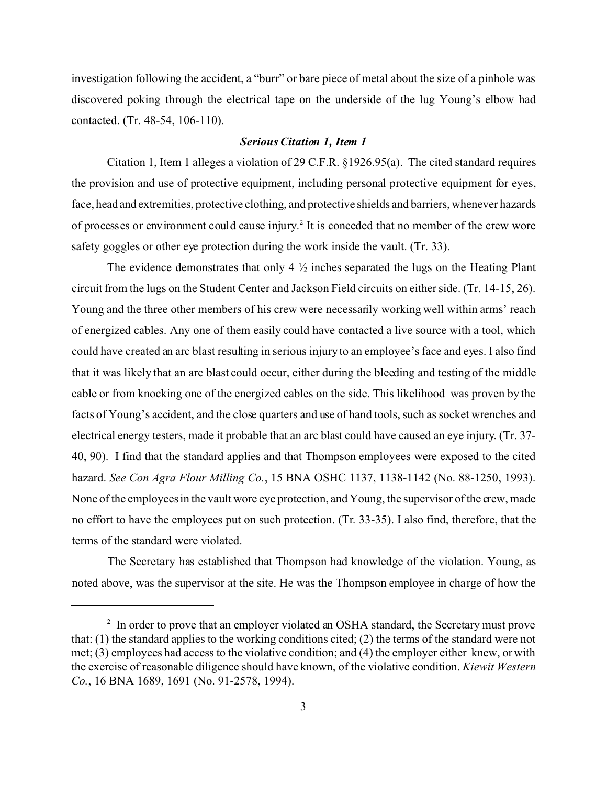investigation following the accident, a "burr" or bare piece of metal about the size of a pinhole was discovered poking through the electrical tape on the underside of the lug Young's elbow had contacted. (Tr. 48-54, 106-110).

## *Serious Citation 1, Item 1*

Citation 1, Item 1 alleges a violation of 29 C.F.R. §1926.95(a). The cited standard requires the provision and use of protective equipment, including personal protective equipment for eyes, face, head and extremities, protective clothing, and protective shields and barriers, whenever hazards of processes or environment could cause injury.<sup>2</sup> It is conceded that no member of the crew wore safety goggles or other eye protection during the work inside the vault. (Tr. 33).

The evidence demonstrates that only 4  $\frac{1}{2}$  inches separated the lugs on the Heating Plant circuit from the lugs on the Student Center and Jackson Field circuits on either side. (Tr. 14-15, 26). Young and the three other members of his crew were necessarily working well within arms' reach of energized cables. Any one of them easily could have contacted a live source with a tool, which could have created an arc blast resulting in serious injury to an employee's face and eyes. I also find that it was likely that an arc blast could occur, either during the bleeding and testing of the middle cable or from knocking one of the energized cables on the side. This likelihood was proven by the facts of Young's accident, and the close quarters and use of hand tools, such as socket wrenches and electrical energy testers, made it probable that an arc blast could have caused an eye injury. (Tr. 37- 40, 90). I find that the standard applies and that Thompson employees were exposed to the cited hazard. *See Con Agra Flour Milling Co.*, 15 BNA OSHC 1137, 1138-1142 (No. 88-1250, 1993). None of the employees in the vault wore eye protection, and Young, the supervisor of the crew, made no effort to have the employees put on such protection. (Tr. 33-35). I also find, therefore, that the terms of the standard were violated.

The Secretary has established that Thompson had knowledge of the violation. Young, as noted above, was the supervisor at the site. He was the Thompson employee in charge of how the

<sup>&</sup>lt;sup>2</sup> In order to prove that an employer violated an OSHA standard, the Secretary must prove that: (1) the standard applies to the working conditions cited; (2) the terms of the standard were not met; (3) employees had access to the violative condition; and (4) the employer either knew, or with the exercise of reasonable diligence should have known, of the violative condition. *Kiewit Western Co.*, 16 BNA 1689, 1691 (No. 91-2578, 1994).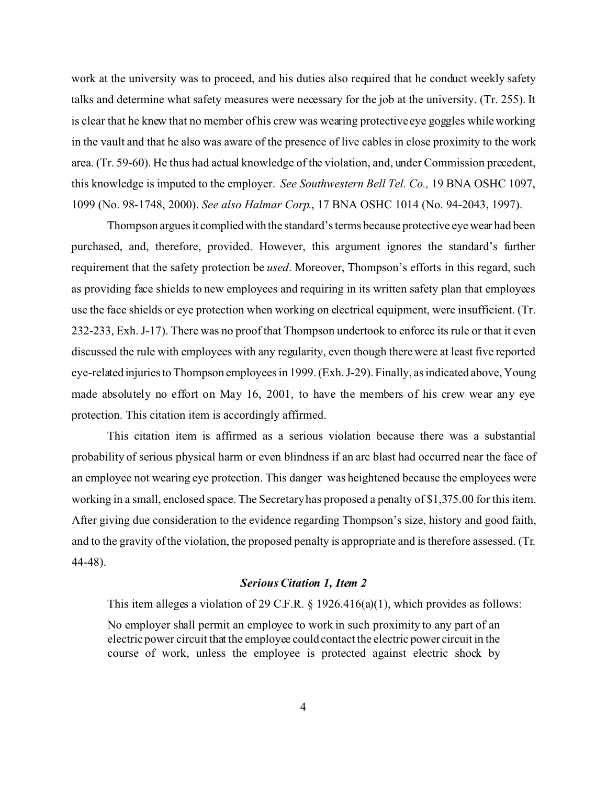work at the university was to proceed, and his duties also required that he conduct weekly safety talks and determine what safety measures were necessary for the job at the university. (Tr. 255). It is clear that he knew that no member of his crew was wearing protective eye goggles while working in the vault and that he also was aware of the presence of live cables in close proximity to the work area. (Tr. 59-60). He thus had actual knowledge of the violation, and, under Commission precedent, this knowledge is imputed to the employer. *See Southwestern Bell Tel. Co.,* 19 BNA OSHC 1097, 1099 (No. 98-1748, 2000). *See also Halmar Corp*., 17 BNA OSHC 1014 (No. 94-2043, 1997).

Thompson arguesit compliedwith the standard's terms because protective eye wear had been purchased, and, therefore, provided. However, this argument ignores the standard's further requirement that the safety protection be *used*. Moreover, Thompson's efforts in this regard, such as providing face shields to new employees and requiring in its written safety plan that employees use the face shields or eye protection when working on electrical equipment, were insufficient. (Tr. 232-233, Exh. J-17). There was no proof that Thompson undertook to enforce its rule or that it even discussed the rule with employees with any regularity, even though there were at least five reported eye-related injuries to Thompson employees in 1999. (Exh. J-29). Finally, as indicated above, Young made absolutely no effort on May 16, 2001, to have the members of his crew wear any eye protection. This citation item is accordingly affirmed.

This citation item is affirmed as a serious violation because there was a substantial probability of serious physical harm or even blindness if an arc blast had occurred near the face of an employee not wearing eye protection. This danger was heightened because the employees were working in a small, enclosed space. The Secretary has proposed a penalty of \$1,375.00 for this item. After giving due consideration to the evidence regarding Thompson's size, history and good faith, and to the gravity of the violation, the proposed penalty is appropriate and is therefore assessed. (Tr. 44-48).

#### *Serious Citation 1, Item 2*

This item alleges a violation of 29 C.F.R.  $\S$  1926.416(a)(1), which provides as follows: No employer shall permit an employee to work in such proximity to any part of an electric power circuit that the employee could contact the electric power circuit in the course of work, unless the employee is protected against electric shock by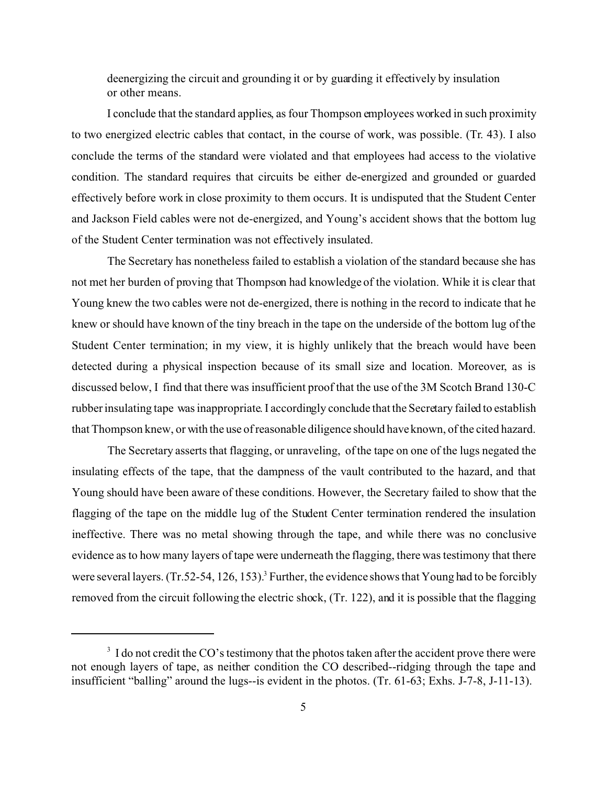deenergizing the circuit and grounding it or by guarding it effectively by insulation or other means.

I conclude that the standard applies, as four Thompson employees worked in such proximity to two energized electric cables that contact, in the course of work, was possible. (Tr. 43). I also conclude the terms of the standard were violated and that employees had access to the violative condition. The standard requires that circuits be either de-energized and grounded or guarded effectively before work in close proximity to them occurs. It is undisputed that the Student Center and Jackson Field cables were not de-energized, and Young's accident shows that the bottom lug of the Student Center termination was not effectively insulated.

The Secretary has nonetheless failed to establish a violation of the standard because she has not met her burden of proving that Thompson had knowledge of the violation. While it is clear that Young knew the two cables were not de-energized, there is nothing in the record to indicate that he knew or should have known of the tiny breach in the tape on the underside of the bottom lug of the Student Center termination; in my view, it is highly unlikely that the breach would have been detected during a physical inspection because of its small size and location. Moreover, as is discussed below, I find that there was insufficient proof that the use of the 3M Scotch Brand 130-C rubber insulating tape was inappropriate. I accordingly conclude that the Secretary failed to establish that Thompson knew, or with the use of reasonable diligence should have known, of the cited hazard.

The Secretary asserts that flagging, or unraveling, of the tape on one of the lugs negated the insulating effects of the tape, that the dampness of the vault contributed to the hazard, and that Young should have been aware of these conditions. However, the Secretary failed to show that the flagging of the tape on the middle lug of the Student Center termination rendered the insulation ineffective. There was no metal showing through the tape, and while there was no conclusive evidence as to how many layers of tape were underneath the flagging, there was testimony that there were several layers.  $(Tr.52-54, 126, 153)^3$  Further, the evidence shows that Young had to be forcibly removed from the circuit following the electric shock, (Tr. 122), and it is possible that the flagging

<sup>&</sup>lt;sup>3</sup> I do not credit the CO's testimony that the photos taken after the accident prove there were not enough layers of tape, as neither condition the CO described--ridging through the tape and insufficient "balling" around the lugs--is evident in the photos. (Tr. 61-63; Exhs. J-7-8, J-11-13).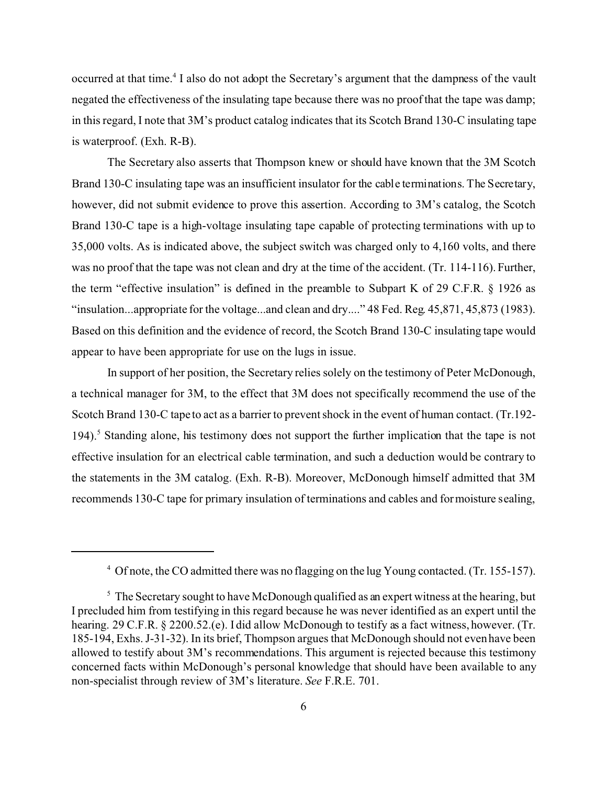occurred at that time.<sup>4</sup> I also do not adopt the Secretary's argument that the dampness of the vault negated the effectiveness of the insulating tape because there was no proof that the tape was damp; in this regard, I note that 3M's product catalog indicates that its Scotch Brand 130-C insulating tape is waterproof. (Exh. R-B).

The Secretary also asserts that Thompson knew or should have known that the 3M Scotch Brand 130-C insulating tape was an insufficient insulator for the cable terminations. The Secretary, however, did not submit evidence to prove this assertion. According to 3M's catalog, the Scotch Brand 130-C tape is a high-voltage insulating tape capable of protecting terminations with up to 35,000 volts. As is indicated above, the subject switch was charged only to 4,160 volts, and there was no proof that the tape was not clean and dry at the time of the accident. (Tr. 114-116). Further, the term "effective insulation" is defined in the preamble to Subpart K of 29 C.F.R. § 1926 as "insulation...appropriate for the voltage...and clean and dry...." 48 Fed. Reg. 45,871, 45,873 (1983). Based on this definition and the evidence of record, the Scotch Brand 130-C insulating tape would appear to have been appropriate for use on the lugs in issue.

In support of her position, the Secretary relies solely on the testimony of Peter McDonough, a technical manager for 3M, to the effect that 3M does not specifically recommend the use of the Scotch Brand 130-C tape to act as a barrier to prevent shock in the event of human contact. (Tr.192- 194).<sup>5</sup> Standing alone, his testimony does not support the further implication that the tape is not effective insulation for an electrical cable termination, and such a deduction would be contrary to the statements in the 3M catalog. (Exh. R-B). Moreover, McDonough himself admitted that 3M recommends 130-C tape for primary insulation of terminations and cables and for moisture sealing,

<sup>4</sup> Of note, the CO admitted there was no flagging on the lug Young contacted. (Tr. 155-157).

 $5$  The Secretary sought to have McDonough qualified as an expert witness at the hearing, but I precluded him from testifying in this regard because he was never identified as an expert until the hearing. 29 C.F.R. § 2200.52.(e). I did allow McDonough to testify as a fact witness, however. (Tr. 185-194, Exhs. J-31-32). In its brief, Thompson argues that McDonough should not even have been allowed to testify about 3M's recommendations. This argument is rejected because this testimony concerned facts within McDonough's personal knowledge that should have been available to any non-specialist through review of 3M's literature. *See* F.R.E. 701.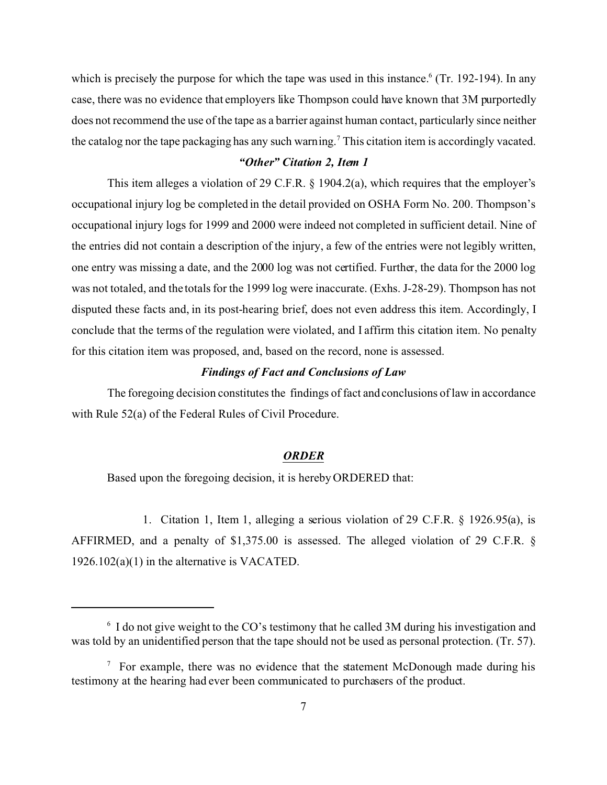which is precisely the purpose for which the tape was used in this instance.<sup>6</sup> (Tr. 192-194). In any case, there was no evidence that employers like Thompson could have known that 3M purportedly does not recommend the use of the tape as a barrier against human contact, particularly since neither the catalog nor the tape packaging has any such warning.<sup>7</sup> This citation item is accordingly vacated.

# *"Other" Citation 2, Item 1*

This item alleges a violation of 29 C.F.R. § 1904.2(a), which requires that the employer's occupational injury log be completed in the detail provided on OSHA Form No. 200. Thompson's occupational injury logs for 1999 and 2000 were indeed not completed in sufficient detail. Nine of the entries did not contain a description of the injury, a few of the entries were not legibly written, one entry was missing a date, and the 2000 log was not certified. Further, the data for the 2000 log was not totaled, and the totals for the 1999 log were inaccurate. (Exhs. J-28-29). Thompson has not disputed these facts and, in its post-hearing brief, does not even address this item. Accordingly, I conclude that the terms of the regulation were violated, and I affirm this citation item. No penalty for this citation item was proposed, and, based on the record, none is assessed.

### *Findings of Fact and Conclusions of Law*

The foregoing decision constitutes the findings of fact and conclusions of law in accordance with Rule 52(a) of the Federal Rules of Civil Procedure.

#### *ORDER*

Based upon the foregoing decision, it is hereby ORDERED that:

1. Citation 1, Item 1, alleging a serious violation of 29 C.F.R. § 1926.95(a), is AFFIRMED, and a penalty of \$1,375.00 is assessed. The alleged violation of 29 C.F.R. § 1926.102(a)(1) in the alternative is VACATED.

 $6\,$  I do not give weight to the CO's testimony that he called 3M during his investigation and was told by an unidentified person that the tape should not be used as personal protection. (Tr. 57).

 $\frac{7}{1}$  For example, there was no evidence that the statement McDonough made during his testimony at the hearing had ever been communicated to purchasers of the product.